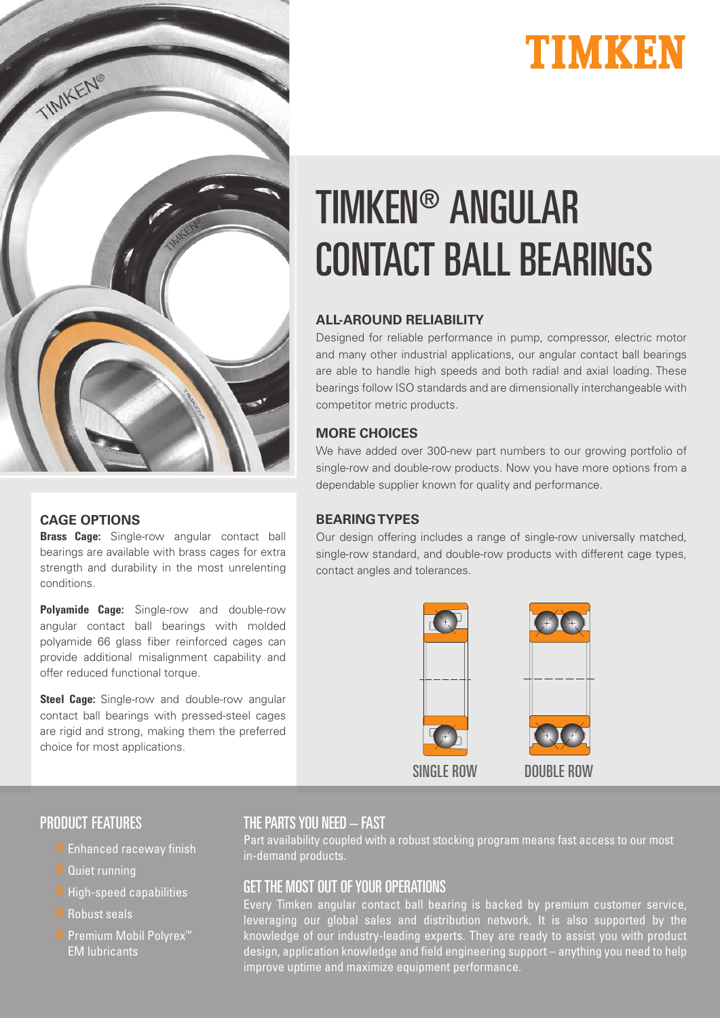



#### **CAGE OPTIONS**

**Brass Cage:** Single-row angular contact ball bearings are available with brass cages for extra strength and durability in the most unrelenting conditions.

**Polyamide Cage:** Single-row and double-row angular contact ball bearings with molded polyamide 66 glass fiber reinforced cages can provide additional misalignment capability and offer reduced functional torque.

**Steel Cage:** Single-row and double-row angular contact ball bearings with pressed-steel cages are rigid and strong, making them the preferred choice for most applications.

# TIMKEN® ANGULAR CONTACT BALL BEARINGS

#### **ALL-AROUND RELIABILITY**

Designed for reliable performance in pump, compressor, electric motor and many other industrial applications, our angular contact ball bearings are able to handle high speeds and both radial and axial loading. These bearings follow ISO standards and are dimensionally interchangeable with competitor metric products.

#### **MORE CHOICES**

We have added over 300-new part numbers to our growing portfolio of single-row and double-row products. Now you have more options from a dependable supplier known for quality and performance.

#### **BEARING TYPES**

Our design offering includes a range of single-row universally matched, single-row standard, and double-row products with different cage types, contact angles and tolerances.



#### PRODUCT FEATURES

- » Enhanced raceway finish
- » Quiet running
- » High-speed capabilities
- » Robust seals
- » Premium Mobil Polyrex™ EM lubricants

#### THE PARTS YOU NEED – FAST

Part availability coupled with a robust stocking program means fast access to our most in-demand products.

#### GET THE MOST OUT OF YOUR OPERATIONS

Every Timken angular contact ball bearing is backed by premium customer service, leveraging our global sales and distribution network. It is also supported by the knowledge of our industry-leading experts. They are ready to assist you with product design, application knowledge and field engineering support – anything you need to help improve uptime and maximize equipment performance.